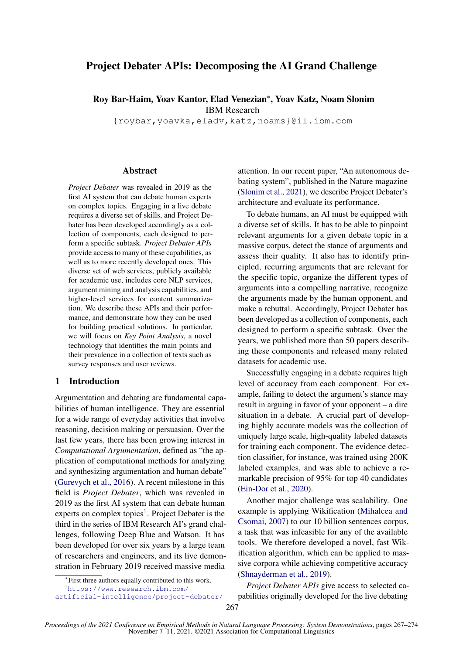# Project Debater APIs: Decomposing the AI Grand Challenge

Roy Bar-Haim, Yoav Kantor, Elad Venezian<sup>∗</sup> , Yoav Katz, Noam Slonim IBM Research

{roybar,yoavka,eladv,katz,noams}@il.ibm.com

#### **Abstract**

*Project Debater* was revealed in 2019 as the first AI system that can debate human experts on complex topics. Engaging in a live debate requires a diverse set of skills, and Project Debater has been developed accordingly as a collection of components, each designed to perform a specific subtask. *Project Debater APIs* provide access to many of these capabilities, as well as to more recently developed ones. This diverse set of web services, publicly available for academic use, includes core NLP services, argument mining and analysis capabilities, and higher-level services for content summarization. We describe these APIs and their performance, and demonstrate how they can be used for building practical solutions. In particular, we will focus on *Key Point Analysis*, a novel technology that identifies the main points and their prevalence in a collection of texts such as survey responses and user reviews.

## 1 Introduction

Argumentation and debating are fundamental capabilities of human intelligence. They are essential for a wide range of everyday activities that involve reasoning, decision making or persuasion. Over the last few years, there has been growing interest in *Computational Argumentation*, defined as "the application of computational methods for analyzing and synthesizing argumentation and human debate" [\(Gurevych et al.,](#page-6-0) [2016\)](#page-6-0). A recent milestone in this field is *Project Debater*, which was revealed in 2019 as the first AI system that can debate human experts on complex topics<sup>[1](#page-0-0)</sup>. Project Debater is the third in the series of IBM Research AI's grand challenges, following Deep Blue and Watson. It has been developed for over six years by a large team of researchers and engineers, and its live demonstration in February 2019 received massive media attention. In our recent paper, "An autonomous debating system", published in the Nature magazine [\(Slonim et al.,](#page-7-0) [2021\)](#page-7-0), we describe Project Debater's architecture and evaluate its performance.

To debate humans, an AI must be equipped with a diverse set of skills. It has to be able to pinpoint relevant arguments for a given debate topic in a massive corpus, detect the stance of arguments and assess their quality. It also has to identify principled, recurring arguments that are relevant for the specific topic, organize the different types of arguments into a compelling narrative, recognize the arguments made by the human opponent, and make a rebuttal. Accordingly, Project Debater has been developed as a collection of components, each designed to perform a specific subtask. Over the years, we published more than 50 papers describing these components and released many related datasets for academic use.

Successfully engaging in a debate requires high level of accuracy from each component. For example, failing to detect the argument's stance may result in arguing in favor of your opponent – a dire situation in a debate. A crucial part of developing highly accurate models was the collection of uniquely large scale, high-quality labeled datasets for training each component. The evidence detection classifier, for instance, was trained using 200K labeled examples, and was able to achieve a remarkable precision of 95% for top 40 candidates [\(Ein-Dor et al.,](#page-6-1) [2020\)](#page-6-1).

Another major challenge was scalability. One example is applying Wikification [\(Mihalcea and](#page-7-1) [Csomai,](#page-7-1) [2007\)](#page-7-1) to our 10 billion sentences corpus, a task that was infeasible for any of the available tools. We therefore developed a novel, fast Wikification algorithm, which can be applied to massive corpora while achieving competitive accuracy [\(Shnayderman et al.,](#page-7-2) [2019\)](#page-7-2).

*Project Debater APIs* give access to selected capabilities originally developed for the live debating

<sup>∗</sup> First three authors equally contributed to this work.

<span id="page-0-0"></span><sup>1</sup>[https://www.research.ibm.com/](https://www.research.ibm.com/artificial-intelligence/project-debater/)

[artificial-intelligence/project-debater/](https://www.research.ibm.com/artificial-intelligence/project-debater/)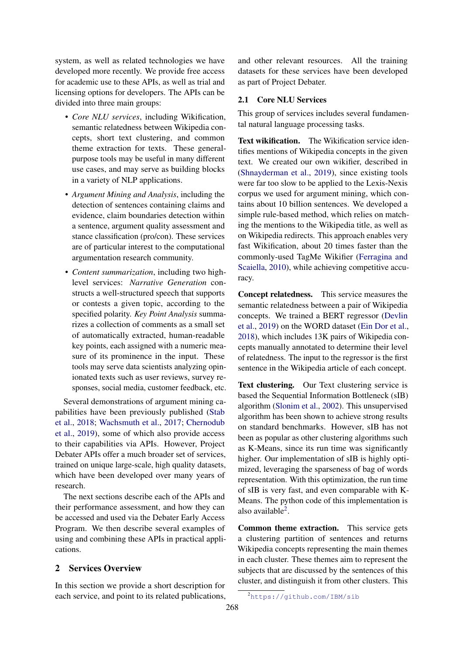system, as well as related technologies we have developed more recently. We provide free access for academic use to these APIs, as well as trial and licensing options for developers. The APIs can be divided into three main groups:

- *Core NLU services*, including Wikification, semantic relatedness between Wikipedia concepts, short text clustering, and common theme extraction for texts. These generalpurpose tools may be useful in many different use cases, and may serve as building blocks in a variety of NLP applications.
- *Argument Mining and Analysis*, including the detection of sentences containing claims and evidence, claim boundaries detection within a sentence, argument quality assessment and stance classification (pro/con). These services are of particular interest to the computational argumentation research community.
- *Content summarization*, including two highlevel services: *Narrative Generation* constructs a well-structured speech that supports or contests a given topic, according to the specified polarity. *Key Point Analysis* summarizes a collection of comments as a small set of automatically extracted, human-readable key points, each assigned with a numeric measure of its prominence in the input. These tools may serve data scientists analyzing opinionated texts such as user reviews, survey responses, social media, customer feedback, etc.

Several demonstrations of argument mining capabilities have been previously published [\(Stab](#page-7-3) [et al.,](#page-7-3) [2018;](#page-7-3) [Wachsmuth et al.,](#page-7-4) [2017;](#page-7-4) [Chernodub](#page-6-2) [et al.,](#page-6-2) [2019\)](#page-6-2), some of which also provide access to their capabilities via APIs. However, Project Debater APIs offer a much broader set of services, trained on unique large-scale, high quality datasets, which have been developed over many years of research.

The next sections describe each of the APIs and their performance assessment, and how they can be accessed and used via the Debater Early Access Program. We then describe several examples of using and combining these APIs in practical applications.

## 2 Services Overview

In this section we provide a short description for each service, and point to its related publications,

and other relevant resources. All the training datasets for these services have been developed as part of Project Debater.

## 2.1 Core NLU Services

This group of services includes several fundamental natural language processing tasks.

Text wikification. The Wikification service identifies mentions of Wikipedia concepts in the given text. We created our own wikifier, described in [\(Shnayderman et al.,](#page-7-2) [2019\)](#page-7-2), since existing tools were far too slow to be applied to the Lexis-Nexis corpus we used for argument mining, which contains about 10 billion sentences. We developed a simple rule-based method, which relies on matching the mentions to the Wikipedia title, as well as on Wikipedia redirects. This approach enables very fast Wikification, about 20 times faster than the commonly-used TagMe Wikifier [\(Ferragina and](#page-6-3) [Scaiella,](#page-6-3) [2010\)](#page-6-3), while achieving competitive accuracy.

Concept relatedness. This service measures the semantic relatedness between a pair of Wikipedia concepts. We trained a BERT regressor [\(Devlin](#page-6-4) [et al.,](#page-6-4) [2019\)](#page-6-4) on the WORD dataset [\(Ein Dor et al.,](#page-6-5) [2018\)](#page-6-5), which includes 13K pairs of Wikipedia concepts manually annotated to determine their level of relatedness. The input to the regressor is the first sentence in the Wikipedia article of each concept.

Text clustering. Our Text clustering service is based the Sequential Information Bottleneck (sIB) algorithm [\(Slonim et al.,](#page-7-5) [2002\)](#page-7-5). This unsupervised algorithm has been shown to achieve strong results on standard benchmarks. However, sIB has not been as popular as other clustering algorithms such as K-Means, since its run time was significantly higher. Our implementation of sIB is highly optimized, leveraging the sparseness of bag of words representation. With this optimization, the run time of sIB is very fast, and even comparable with K-Means. The python code of this implementation is also available<sup>[2](#page-1-0)</sup>.

Common theme extraction. This service gets a clustering partition of sentences and returns Wikipedia concepts representing the main themes in each cluster. These themes aim to represent the subjects that are discussed by the sentences of this cluster, and distinguish it from other clusters. This

<span id="page-1-0"></span><sup>2</sup><https://github.com/IBM/sib>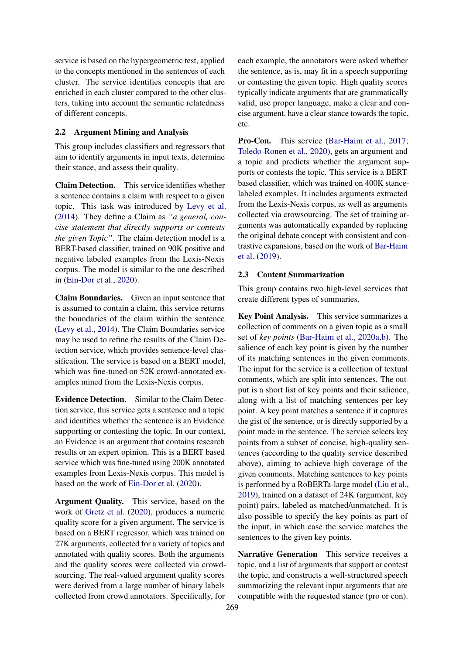service is based on the hypergeometric test, applied to the concepts mentioned in the sentences of each cluster. The service identifies concepts that are enriched in each cluster compared to the other clusters, taking into account the semantic relatedness of different concepts.

## 2.2 Argument Mining and Analysis

This group includes classifiers and regressors that aim to identify arguments in input texts, determine their stance, and assess their quality.

Claim Detection. This service identifies whether a sentence contains a claim with respect to a given topic. This task was introduced by [Levy et al.](#page-6-6) [\(2014\)](#page-6-6). They define a Claim as *"a general, concise statement that directly supports or contests the given Topic"*. The claim detection model is a BERT-based classifier, trained on 90K positive and negative labeled examples from the Lexis-Nexis corpus. The model is similar to the one described in [\(Ein-Dor et al.,](#page-6-1) [2020\)](#page-6-1).

Claim Boundaries. Given an input sentence that is assumed to contain a claim, this service returns the boundaries of the claim within the sentence [\(Levy et al.,](#page-6-6) [2014\)](#page-6-6). The Claim Boundaries service may be used to refine the results of the Claim Detection service, which provides sentence-level classification. The service is based on a BERT model, which was fine-tuned on 52K crowd-annotated examples mined from the Lexis-Nexis corpus.

Evidence Detection. Similar to the Claim Detection service, this service gets a sentence and a topic and identifies whether the sentence is an Evidence supporting or contesting the topic. In our context, an Evidence is an argument that contains research results or an expert opinion. This is a BERT based service which was fine-tuned using 200K annotated examples from Lexis-Nexis corpus. This model is based on the work of [Ein-Dor et al.](#page-6-1) [\(2020\)](#page-6-1).

Argument Quality. This service, based on the work of [Gretz et al.](#page-6-7) [\(2020\)](#page-6-7), produces a numeric quality score for a given argument. The service is based on a BERT regressor, which was trained on 27K arguments, collected for a variety of topics and annotated with quality scores. Both the arguments and the quality scores were collected via crowdsourcing. The real-valued argument quality scores were derived from a large number of binary labels collected from crowd annotators. Specifically, for

each example, the annotators were asked whether the sentence, as is, may fit in a speech supporting or contesting the given topic. High quality scores typically indicate arguments that are grammatically valid, use proper language, make a clear and concise argument, have a clear stance towards the topic, etc.

Pro-Con. This service [\(Bar-Haim et al.,](#page-6-8) [2017;](#page-6-8) [Toledo-Ronen et al.,](#page-7-6) [2020\)](#page-7-6), gets an argument and a topic and predicts whether the argument supports or contests the topic. This service is a BERTbased classifier, which was trained on 400K stancelabeled examples. It includes arguments extracted from the Lexis-Nexis corpus, as well as arguments collected via crowsourcing. The set of training arguments was automatically expanded by replacing the original debate concept with consistent and contrastive expansions, based on the work of [Bar-Haim](#page-6-9) [et al.](#page-6-9) [\(2019\)](#page-6-9).

#### 2.3 Content Summarization

This group contains two high-level services that create different types of summaries.

Key Point Analysis. This service summarizes a collection of comments on a given topic as a small set of *key points* [\(Bar-Haim et al.,](#page-6-10) [2020a,](#page-6-10)[b\)](#page-6-11). The salience of each key point is given by the number of its matching sentences in the given comments. The input for the service is a collection of textual comments, which are split into sentences. The output is a short list of key points and their salience, along with a list of matching sentences per key point. A key point matches a sentence if it captures the gist of the sentence, or is directly supported by a point made in the sentence. The service selects key points from a subset of concise, high-quality sentences (according to the quality service described above), aiming to achieve high coverage of the given comments. Matching sentences to key points is performed by a RoBERTa-large model [\(Liu et al.,](#page-7-7) [2019\)](#page-7-7), trained on a dataset of 24K (argument, key point) pairs, labeled as matched/unmatched. It is also possible to specify the key points as part of the input, in which case the service matches the sentences to the given key points.

Narrative Generation This service receives a topic, and a list of arguments that support or contest the topic, and constructs a well-structured speech summarizing the relevant input arguments that are compatible with the requested stance (pro or con).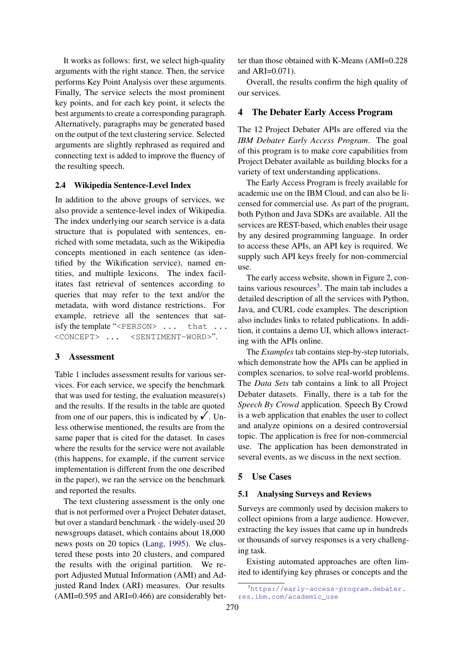It works as follows: first, we select high-quality arguments with the right stance. Then, the service performs Key Point Analysis over these arguments. Finally, The service selects the most prominent key points, and for each key point, it selects the best arguments to create a corresponding paragraph. Alternatively, paragraphs may be generated based on the output of the text clustering service. Selected arguments are slightly rephrased as required and connecting text is added to improve the fluency of the resulting speech.

## 2.4 Wikipedia Sentence-Level Index

In addition to the above groups of services, we also provide a sentence-level index of Wikipedia. The index underlying our search service is a data structure that is populated with sentences, enriched with some metadata, such as the Wikipedia concepts mentioned in each sentence (as identified by the Wikification service), named entities, and multiple lexicons. The index facilitates fast retrieval of sentences according to queries that may refer to the text and/or the metadata, with word distance restrictions. For example, retrieve all the sentences that satisfy the template "<PERSON> ... that ... <CONCEPT> ... <SENTIMENT-WORD>".

## 3 Assessment

Table [1](#page-4-0) includes assessment results for various services. For each service, we specify the benchmark that was used for testing, the evaluation measure(s) and the results. If the results in the table are quoted from one of our papers, this is indicated by  $\checkmark$ . Unless otherwise mentioned, the results are from the same paper that is cited for the dataset. In cases where the results for the service were not available (this happens, for example, if the current service implementation is different from the one described in the paper), we ran the service on the benchmark and reported the results.

The text clustering assessment is the only one that is not performed over a Project Debater dataset, but over a standard benchmark - the widely-used 20 newsgroups dataset, which contains about 18,000 news posts on 20 topics [\(Lang,](#page-6-12) [1995\)](#page-6-12). We clustered these posts into 20 clusters, and compared the results with the original partition. We report Adjusted Mutual Information (AMI) and Adjusted Rand Index (ARI) measures. Our results (AMI=0.595 and ARI=0.466) are considerably better than those obtained with K-Means (AMI=0.228 and ARI=0.071).

Overall, the results confirm the high quality of our services.

### 4 The Debater Early Access Program

The 12 Project Debater APIs are offered via the *IBM Debater Early Access Program*. The goal of this program is to make core capabilities from Project Debater available as building blocks for a variety of text understanding applications.

The Early Access Program is freely available for academic use on the IBM Cloud, and can also be licensed for commercial use. As part of the program, both Python and Java SDKs are available. All the services are REST-based, which enables their usage by any desired programming language. In order to access these APIs, an API key is required. We supply such API keys freely for non-commercial use.

The early access website, shown in Figure [2,](#page-5-0) con-tains various resources<sup>[3](#page-3-0)</sup>. The main tab includes a detailed description of all the services with Python, Java, and CURL code examples. The description also includes links to related publications. In addition, it contains a demo UI, which allows interacting with the APIs online.

The *Examples* tab contains step-by-step tutorials, which demonstrate how the APIs can be applied in complex scenarios, to solve real-world problems. The *Data Sets* tab contains a link to all Project Debater datasets. Finally, there is a tab for the *Speech By Crowd* application. Speech By Crowd is a web application that enables the user to collect and analyze opinions on a desired controversial topic. The application is free for non-commercial use. The application has been demonstrated in several events, as we discuss in the next section.

#### 5 Use Cases

#### 5.1 Analysing Surveys and Reviews

Surveys are commonly used by decision makers to collect opinions from a large audience. However, extracting the key issues that came up in hundreds or thousands of survey responses is a very challenging task.

Existing automated approaches are often limited to identifying key phrases or concepts and the

<span id="page-3-0"></span><sup>3</sup>[https://early-access-program.debater.](https://early-access-program.debater.res.ibm.com/academic_use) [res.ibm.com/academic\\_use](https://early-access-program.debater.res.ibm.com/academic_use)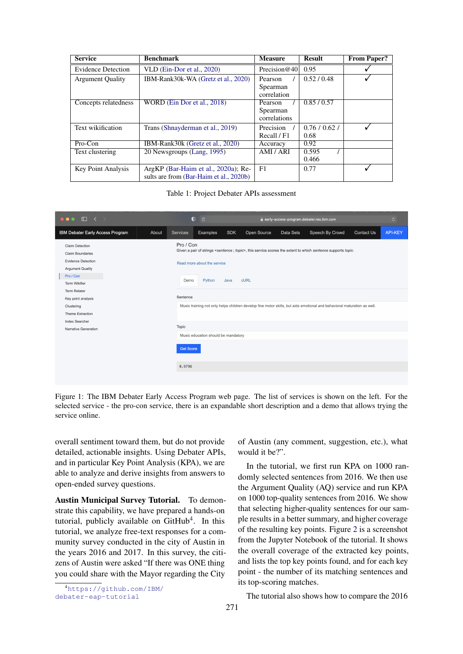<span id="page-4-0"></span>

| <b>Service</b>            | <b>Benchmark</b>                        | <b>Measure</b>          | <b>Result</b> | <b>From Paper?</b> |
|---------------------------|-----------------------------------------|-------------------------|---------------|--------------------|
| <b>Evidence Detection</b> | $VLD$ (Ein-Dor et al., 2020)            | Precision $@40 $        | 0.95          |                    |
| <b>Argument Quality</b>   | IBM-Rank30k-WA (Gretz et al., 2020)     | Pearson                 | 0.52/0.48     |                    |
|                           |                                         | Spearman<br>correlation |               |                    |
| Concepts relatedness      | WORD (Ein Dor et al., 2018)             | Pearson                 | 0.85/0.57     |                    |
|                           |                                         | Spearman                |               |                    |
|                           |                                         | correlations            |               |                    |
| Text wikification         | Trans (Shnayderman et al., 2019)        | Precision               | 0.76/0.62/    |                    |
|                           |                                         | Recall / F1             | 0.68          |                    |
| Pro-Con                   | IBM-Rank30k (Gretz et al., 2020)        | Accuracy                | 0.92          |                    |
| Text clustering           | 20 Newsgroups (Lang, 1995)              | AMI / ARI               | 0.595         |                    |
|                           |                                         |                         | 0.466         |                    |
| <b>Key Point Analysis</b> | ArgKP (Bar-Haim et al., 2020a); Re-     | F1                      | 0.77          |                    |
|                           | sults are from (Bar-Haim et al., 2020b) |                         |               |                    |

Table 1: Project Debater APIs assessment

| $\Box \leftarrow$<br>$\bullet\bullet\bullet$                                                                                                                                                                                                                     |       |                                                                                                                                                                                                                                                                                                                                                                  | ⋂<br>日   |            | early-access-program.debater.res.ibm.com |           |                 |                   | ౿              |
|------------------------------------------------------------------------------------------------------------------------------------------------------------------------------------------------------------------------------------------------------------------|-------|------------------------------------------------------------------------------------------------------------------------------------------------------------------------------------------------------------------------------------------------------------------------------------------------------------------------------------------------------------------|----------|------------|------------------------------------------|-----------|-----------------|-------------------|----------------|
| IBM Debater Early Access Program                                                                                                                                                                                                                                 | About | <b>Services</b>                                                                                                                                                                                                                                                                                                                                                  | Examples | <b>SDK</b> | Open Source                              | Data Sets | Speech By Crowd | <b>Contact Us</b> | <b>API-KEY</b> |
| <b>Claim Detection</b><br><b>Claim Boundaries</b><br><b>Evidence Detection</b><br><b>Argument Quality</b><br>Pro / Con<br>Term Wikifier<br><b>Term Relater</b><br>Key point analysis<br>Clustering<br>Theme Extraction<br>Index Searcher<br>Narrative Generation |       | Pro / Con<br>Given a pair of strings <sentence ;="" topic="">, this service scores the extent to which sentence supports topic.<br/>Read more about the service<br/><b>cURL</b><br/>Python<br/>Java<br/>Demo<br/>Sentence<br/>Music training not only helps children develop fine motor skills, but aids emotional and behavioral maturation as well.</sentence> |          |            |                                          |           |                 |                   |                |
|                                                                                                                                                                                                                                                                  |       | Topic<br>Music education should be mandatory                                                                                                                                                                                                                                                                                                                     |          |            |                                          |           |                 |                   |                |
|                                                                                                                                                                                                                                                                  |       | <b>Get Score</b><br>0.9796                                                                                                                                                                                                                                                                                                                                       |          |            |                                          |           |                 |                   |                |

Figure 1: The IBM Debater Early Access Program web page. The list of services is shown on the left. For the selected service - the pro-con service, there is an expandable short description and a demo that allows trying the service online.

overall sentiment toward them, but do not provide detailed, actionable insights. Using Debater APIs, and in particular Key Point Analysis (KPA), we are able to analyze and derive insights from answers to open-ended survey questions.

Austin Municipal Survey Tutorial. To demonstrate this capability, we have prepared a hands-on tutorial, publicly available on GitHub<sup>[4](#page-4-1)</sup>. In this tutorial, we analyze free-text responses for a community survey conducted in the city of Austin in the years 2016 and 2017. In this survey, the citizens of Austin were asked "If there was ONE thing you could share with the Mayor regarding the City

<span id="page-4-1"></span><sup>4</sup>[https://github.com/IBM/](https://github.com/IBM/debater-eap-tutorial) [debater-eap-tutorial](https://github.com/IBM/debater-eap-tutorial)

of Austin (any comment, suggestion, etc.), what would it be?".

In the tutorial, we first run KPA on 1000 randomly selected sentences from 2016. We then use the Argument Quality (AQ) service and run KPA on 1000 top-quality sentences from 2016. We show that selecting higher-quality sentences for our sample results in a better summary, and higher coverage of the resulting key points. Figure [2](#page-5-0) is a screenshot from the Jupyter Notebook of the tutorial. It shows the overall coverage of the extracted key points, and lists the top key points found, and for each key point - the number of its matching sentences and its top-scoring matches.

The tutorial also shows how to compare the 2016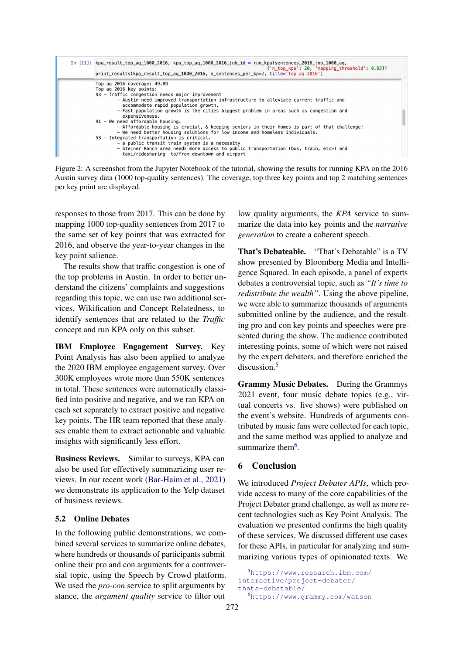<span id="page-5-0"></span>

Figure 2: A screenshot from the Jupyter Notebook of the tutorial, showing the results for running KPA on the 2016 Austin survey data (1000 top-quality sentences). The coverage, top three key points and top 2 matching sentences per key point are displayed.

responses to those from 2017. This can be done by mapping 1000 top-quality sentences from 2017 to the same set of key points that was extracted for 2016, and observe the year-to-year changes in the key point salience.

The results show that traffic congestion is one of the top problems in Austin. In order to better understand the citizens' complaints and suggestions regarding this topic, we can use two additional services, Wikification and Concept Relatedness, to identify sentences that are related to the *Traffic* concept and run KPA only on this subset.

IBM Employee Engagement Survey. Key Point Analysis has also been applied to analyze the 2020 IBM employee engagement survey. Over 300K employees wrote more than 550K sentences in total. These sentences were automatically classified into positive and negative, and we ran KPA on each set separately to extract positive and negative key points. The HR team reported that these analyses enable them to extract actionable and valuable insights with significantly less effort.

Business Reviews. Similar to surveys, KPA can also be used for effectively summarizing user reviews. In our recent work [\(Bar-Haim et al.,](#page-6-13) [2021\)](#page-6-13) we demonstrate its application to the Yelp dataset of business reviews.

### 5.2 Online Debates

In the following public demonstrations, we combined several services to summarize online debates, where hundreds or thousands of participants submit online their pro and con arguments for a controversial topic, using the Speech by Crowd platform. We used the *pro-con* service to split arguments by stance, the *argument quality* service to filter out

low quality arguments, the *KPA* service to summarize the data into key points and the *narrative generation* to create a coherent speech.

That's Debateable. "That's Debatable" is a TV show presented by Bloomberg Media and Intelligence Squared. In each episode, a panel of experts debates a controversial topic, such as *"It's time to redistribute the wealth"*. Using the above pipeline, we were able to summarize thousands of arguments submitted online by the audience, and the resulting pro and con key points and speeches were presented during the show. The audience contributed interesting points, some of which were not raised by the expert debaters, and therefore enriched the discussion.[5](#page-5-1)

Grammy Music Debates. During the Grammys 2021 event, four music debate topics (e.g., virtual concerts vs. live shows) were published on the event's website. Hundreds of arguments contributed by music fans were collected for each topic, and the same method was applied to analyze and summarize them<sup>[6](#page-5-2)</sup>.

### 6 Conclusion

We introduced *Project Debater APIs*, which provide access to many of the core capabilities of the Project Debater grand challenge, as well as more recent technologies such as Key Point Analysis. The evaluation we presented confirms the high quality of these services. We discussed different use cases for these APIs, in particular for analyzing and summarizing various types of opinionated texts. We

<span id="page-5-1"></span><sup>5</sup>[https://www.research.ibm.com/](https://www.research.ibm.com/interactive/project-debater/thats-debatable/) [interactive/project-debater/](https://www.research.ibm.com/interactive/project-debater/thats-debatable/)

<span id="page-5-2"></span>[thats-debatable/](https://www.research.ibm.com/interactive/project-debater/thats-debatable/) <sup>6</sup><https://www.grammy.com/watson>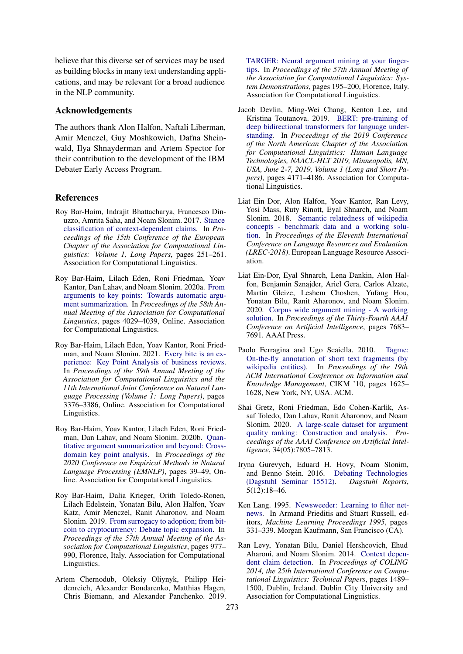believe that this diverse set of services may be used as building blocks in many text understanding applications, and may be relevant for a broad audience in the NLP community.

#### Acknowledgements

The authors thank Alon Halfon, Naftali Liberman, Amir Menczel, Guy Moshkowich, Dafna Sheinwald, Ilya Shnayderman and Artem Spector for their contribution to the development of the IBM Debater Early Access Program.

#### References

- <span id="page-6-8"></span>Roy Bar-Haim, Indrajit Bhattacharya, Francesco Dinuzzo, Amrita Saha, and Noam Slonim. 2017. [Stance](http://aclweb.org/anthology/E17-1024) [classification of context-dependent claims.](http://aclweb.org/anthology/E17-1024) In *Proceedings of the 15th Conference of the European Chapter of the Association for Computational Linguistics: Volume 1, Long Papers*, pages 251–261. Association for Computational Linguistics.
- <span id="page-6-10"></span>Roy Bar-Haim, Lilach Eden, Roni Friedman, Yoav Kantor, Dan Lahav, and Noam Slonim. 2020a. [From](https://doi.org/10.18653/v1/2020.acl-main.371) [arguments to key points: Towards automatic argu](https://doi.org/10.18653/v1/2020.acl-main.371)[ment summarization.](https://doi.org/10.18653/v1/2020.acl-main.371) In *Proceedings of the 58th Annual Meeting of the Association for Computational Linguistics*, pages 4029–4039, Online. Association for Computational Linguistics.
- <span id="page-6-13"></span>Roy Bar-Haim, Lilach Eden, Yoav Kantor, Roni Friedman, and Noam Slonim. 2021. [Every bite is an ex](https://doi.org/10.18653/v1/2021.acl-long.262)[perience: Key Point Analysis of business reviews.](https://doi.org/10.18653/v1/2021.acl-long.262) In *Proceedings of the 59th Annual Meeting of the Association for Computational Linguistics and the 11th International Joint Conference on Natural Language Processing (Volume 1: Long Papers)*, pages 3376–3386, Online. Association for Computational Linguistics.
- <span id="page-6-11"></span>Roy Bar-Haim, Yoav Kantor, Lilach Eden, Roni Friedman, Dan Lahav, and Noam Slonim. 2020b. [Quan](https://doi.org/10.18653/v1/2020.emnlp-main.3)[titative argument summarization and beyond: Cross](https://doi.org/10.18653/v1/2020.emnlp-main.3)[domain key point analysis.](https://doi.org/10.18653/v1/2020.emnlp-main.3) In *Proceedings of the 2020 Conference on Empirical Methods in Natural Language Processing (EMNLP)*, pages 39–49, Online. Association for Computational Linguistics.
- <span id="page-6-9"></span>Roy Bar-Haim, Dalia Krieger, Orith Toledo-Ronen, Lilach Edelstein, Yonatan Bilu, Alon Halfon, Yoav Katz, Amir Menczel, Ranit Aharonov, and Noam Slonim. 2019. [From surrogacy to adoption; from bit](https://doi.org/10.18653/v1/P19-1094)[coin to cryptocurrency: Debate topic expansion.](https://doi.org/10.18653/v1/P19-1094) In *Proceedings of the 57th Annual Meeting of the Association for Computational Linguistics*, pages 977– 990, Florence, Italy. Association for Computational Linguistics.
- <span id="page-6-2"></span>Artem Chernodub, Oleksiy Oliynyk, Philipp Heidenreich, Alexander Bondarenko, Matthias Hagen, Chris Biemann, and Alexander Panchenko. 2019.

[TARGER: Neural argument mining at your finger](https://doi.org/10.18653/v1/P19-3031)[tips.](https://doi.org/10.18653/v1/P19-3031) In *Proceedings of the 57th Annual Meeting of the Association for Computational Linguistics: System Demonstrations*, pages 195–200, Florence, Italy. Association for Computational Linguistics.

- <span id="page-6-4"></span>Jacob Devlin, Ming-Wei Chang, Kenton Lee, and Kristina Toutanova. 2019. [BERT: pre-training of](https://doi.org/10.18653/v1/n19-1423) [deep bidirectional transformers for language under](https://doi.org/10.18653/v1/n19-1423)[standing.](https://doi.org/10.18653/v1/n19-1423) In *Proceedings of the 2019 Conference of the North American Chapter of the Association for Computational Linguistics: Human Language Technologies, NAACL-HLT 2019, Minneapolis, MN, USA, June 2-7, 2019, Volume 1 (Long and Short Papers)*, pages 4171–4186. Association for Computational Linguistics.
- <span id="page-6-5"></span>Liat Ein Dor, Alon Halfon, Yoav Kantor, Ran Levy, Yosi Mass, Ruty Rinott, Eyal Shnarch, and Noam Slonim. 2018. [Semantic relatedness of wikipedia](http://aclweb.org/anthology/L18-1408) [concepts - benchmark data and a working solu](http://aclweb.org/anthology/L18-1408)[tion.](http://aclweb.org/anthology/L18-1408) In *Proceedings of the Eleventh International Conference on Language Resources and Evaluation (LREC-2018)*. European Language Resource Association.
- <span id="page-6-1"></span>Liat Ein-Dor, Eyal Shnarch, Lena Dankin, Alon Halfon, Benjamin Sznajder, Ariel Gera, Carlos Alzate, Martin Gleize, Leshem Choshen, Yufang Hou, Yonatan Bilu, Ranit Aharonov, and Noam Slonim. 2020. [Corpus wide argument mining - A working](https://aaai.org/ojs/index.php/AAAI/article/view/6270) [solution.](https://aaai.org/ojs/index.php/AAAI/article/view/6270) In *Proceedings of the Thirty-Fourth AAAI Conference on Artificial Intelligence*, pages 7683– 7691. AAAI Press.
- <span id="page-6-3"></span>Paolo Ferragina and Ugo Scaiella. 2010. [Tagme:](https://doi.org/10.1145/1871437.1871689) [On-the-fly annotation of short text fragments \(by](https://doi.org/10.1145/1871437.1871689) [wikipedia entities\).](https://doi.org/10.1145/1871437.1871689) In *Proceedings of the 19th ACM International Conference on Information and Knowledge Management*, CIKM '10, pages 1625– 1628, New York, NY, USA. ACM.
- <span id="page-6-7"></span>Shai Gretz, Roni Friedman, Edo Cohen-Karlik, Assaf Toledo, Dan Lahav, Ranit Aharonov, and Noam Slonim. 2020. [A large-scale dataset for argument](https://doi.org/10.1609/aaai.v34i05.6285) [quality ranking: Construction and analysis.](https://doi.org/10.1609/aaai.v34i05.6285) *Proceedings of the AAAI Conference on Artificial Intelligence*, 34(05):7805–7813.
- <span id="page-6-0"></span>Iryna Gurevych, Eduard H. Hovy, Noam Slonim, and Benno Stein. 2016. [Debating Technologies](https://doi.org/10.4230/DagRep.5.12.18) [\(Dagstuhl Seminar 15512\).](https://doi.org/10.4230/DagRep.5.12.18) *Dagstuhl Reports*, 5(12):18–46.
- <span id="page-6-12"></span>Ken Lang. 1995. [Newsweeder: Learning to filter net](https://doi.org/https://doi.org/10.1016/B978-1-55860-377-6.50048-7)[news.](https://doi.org/https://doi.org/10.1016/B978-1-55860-377-6.50048-7) In Armand Prieditis and Stuart Russell, editors, *Machine Learning Proceedings 1995*, pages 331–339. Morgan Kaufmann, San Francisco (CA).
- <span id="page-6-6"></span>Ran Levy, Yonatan Bilu, Daniel Hershcovich, Ehud Aharoni, and Noam Slonim. 2014. [Context depen](https://www.aclweb.org/anthology/C14-1141)[dent claim detection.](https://www.aclweb.org/anthology/C14-1141) In *Proceedings of COLING 2014, the 25th International Conference on Computational Linguistics: Technical Papers*, pages 1489– 1500, Dublin, Ireland. Dublin City University and Association for Computational Linguistics.